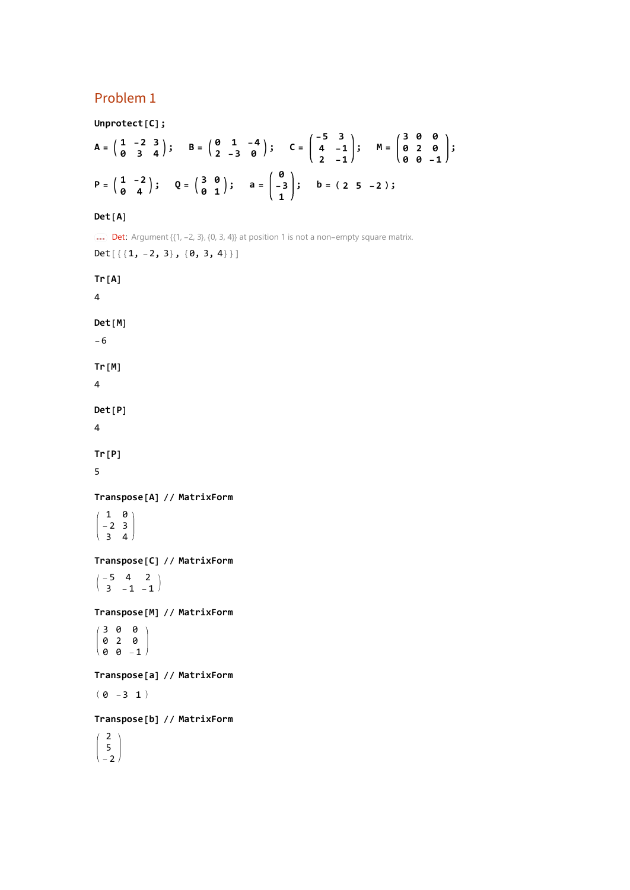## Problem 1

**Unprotect[C];**

$$
A = \begin{pmatrix} 1 & -2 & 3 \\ 0 & 3 & 4 \end{pmatrix}; \quad B = \begin{pmatrix} 0 & 1 & -4 \\ 2 & -3 & 0 \end{pmatrix}; \quad C = \begin{pmatrix} -5 & 3 \\ 4 & -1 \\ 2 & -1 \end{pmatrix}; \quad M = \begin{pmatrix} 3 & 0 & 0 \\ 0 & 2 & 0 \\ 0 & 0 & -1 \end{pmatrix};
$$

$$
P = \begin{pmatrix} 1 & -2 \\ 0 & 4 \end{pmatrix}; \quad Q = \begin{pmatrix} 3 & 0 \\ 0 & 1 \end{pmatrix}; \quad a = \begin{pmatrix} 0 \\ -3 \\ 1 \end{pmatrix}; \quad b = (2 \ 5 \ -2) \, ;
$$

## **Det[A]**

**Det:** Argument  $\{(1, -2, 3), \{0, 3, 4\}\}$  at position 1 is not a non-empty square matrix. Det $[\{\{1, -2, 3\}, \{0, 3, 4\}\}]$ 

**Tr[A]** 4 **Det[M]** -6 **Tr[M]** 4 **Det[P]** 4 **Tr[P]** 5 **Transpose[A] // MatrixForm**  $(1 \ 0)$  $-2$  3  $\begin{pmatrix} 3 & 4 \end{pmatrix}$ **Transpose[C] // MatrixForm**  $\left( \begin{array}{rrr} -5 & 4 & 2 \\ 3 & -1 & -1 \end{array} \right)$ **Transpose[M] // MatrixForm** 3 0 0 0 2 0 0 0 -1 **Transpose[a] // MatrixForm**  $(0 -3 1)$ **Transpose[b] // MatrixForm** 2 5 -2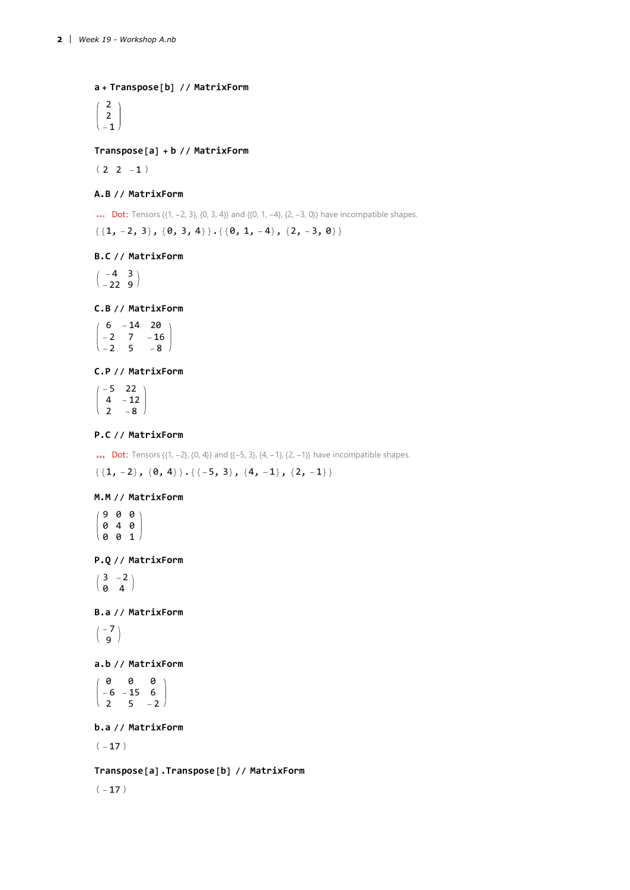**a + Transpose[b] // MatrixForm**

2 2 -1

## **Transpose[a] + b // MatrixForm**

 $(2 2 -1)$ 

## **A.B // MatrixForm**

**Dot:** Tensors  $\{\{1, -2, 3\}, \{0, 3, 4\}\}$  and  $\{\{0, 1, -4\}, \{2, -3, 0\}\}$  have incompatible shapes.

 $\{ \{1, -2, 3\}, \{0, 3, 4\} \}. {\{\emptyset, 1, -4\}, \{2, -3, 0\}}$ 

#### **B.C // MatrixForm**

 $\left(\begin{array}{cc} -4 & 3 \\ -22 & 9 \end{array}\right)$ 

#### **C.B // MatrixForm**

 $(6 -14 20)$  $-2$  7  $-16$  $-2$  5  $-8$ 

## **C.P // MatrixForm**

 $(-5)$  22  $4 - 12$  $2 - 8$ 

## **P.C // MatrixForm**

**Dot:** Tensors  $\{\{1, -2\}, \{0, 4\}\}$  and  $\{\{-5, 3\}, \{4, -1\}, \{2, -1\}\}$  have incompatible shapes.

 $\{\{1, -2\}, \{0, 4\}\}. {\{\{-5, 3\}}, \{4, -1\}, \{2, -1\}}$ 

## **M.M // MatrixForm**

9 0 0 0 4 0  $001$ 

**P.Q // MatrixForm**

 $\begin{pmatrix} 3 & -2 \\ 0 & 4 \end{pmatrix}$ 

**B.a // MatrixForm**

 $\left( \begin{array}{c} -7 \\ 9 \end{array} \right)$ 

#### **a.b // MatrixForm**

0 0 0  $-6$   $-15$  6  $2 \t 5 \t -2$ 

**b.a // MatrixForm**

 $(-17)$ 

**Transpose[a].Transpose[b] // MatrixForm**

 $(-17)$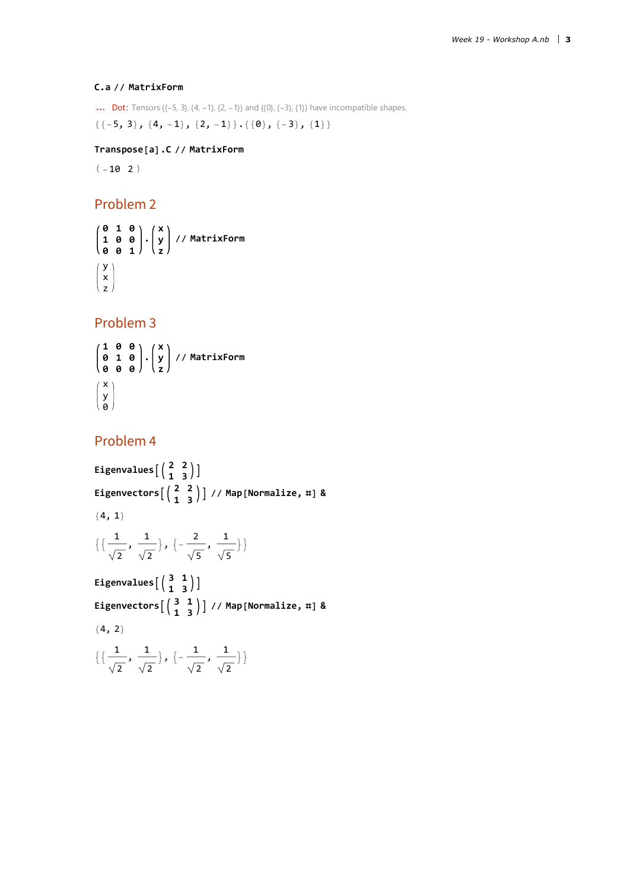## **C.a // MatrixForm**

**Dot:** Tensors  $\{(-5, 3), (4, -1), (2, -1)\}$  and  $\{0\}, \{-3\}, \{1\}\}$  have incompatible shapes.

 ${(-5, 3)}, {4, -1}, {2, -1}, {(-8), {-3}}, {1}$ 

## **Transpose[a].C // MatrixForm**

 $(-10 \ 2)$ 

# Problem 2

**0 1 0 1 0 0 0 0 1 . x y z // MatrixForm** y x z

Problem 3

$$
\begin{pmatrix}\n1 & 0 & 0 \\
0 & 1 & 0 \\
0 & 0 & 0\n\end{pmatrix}\n\cdot\n\begin{pmatrix}\nx \\
y \\
z\n\end{pmatrix}\n// MatrixForm\n\begin{pmatrix}\nx \\
y \\
0\n\end{pmatrix}
$$

# Problem 4

Eigenvalues 
$$
\begin{pmatrix} 2 & 2 \\ 1 & 3 \end{pmatrix}
$$
  
\nEigenvectors  $\begin{pmatrix} 2 & 2 \\ 1 & 3 \end{pmatrix}$  // Map [Normalize, #] &  
\n $\{\{\frac{1}{\sqrt{2}}, \frac{1}{\sqrt{2}}\}, \{-\frac{2}{\sqrt{5}}, \frac{1}{\sqrt{5}}\}\}$   
\nEigenvalues  $\begin{pmatrix} 3 & 1 \\ 1 & 3 \end{pmatrix}$ ]  
\nEigenvectors  $\begin{pmatrix} 3 & 1 \\ 1 & 3 \end{pmatrix}$  // Map [Normalize, #] &  
\n $\{4, 2\}$ 

$$
\left\{ \left\{ \frac{1}{\sqrt{2}}, \frac{1}{\sqrt{2}} \right\}, \left\{ -\frac{1}{\sqrt{2}}, \frac{1}{\sqrt{2}} \right\} \right\}
$$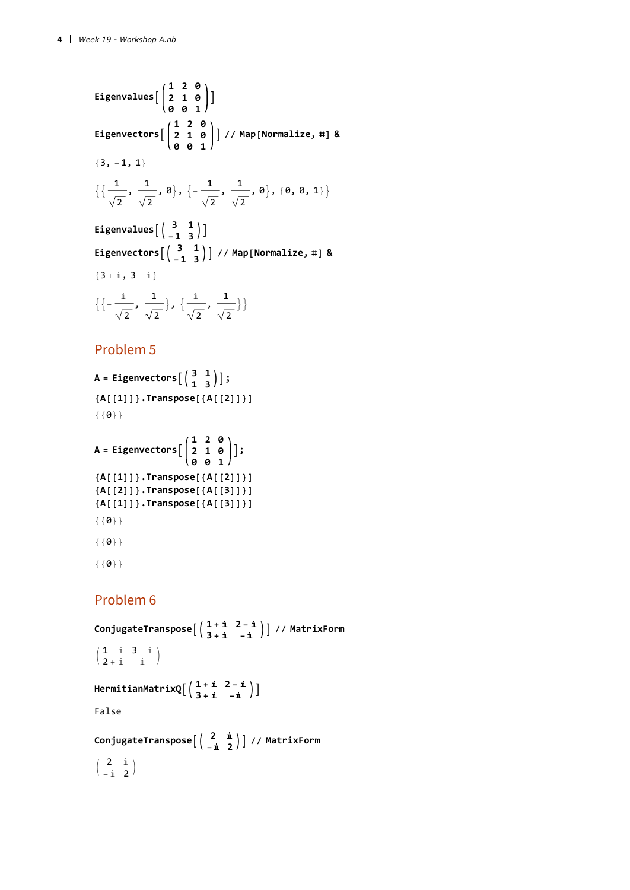Eigenvalues 
$$
\begin{bmatrix} 1 & 2 & 0 \\ 2 & 1 & 0 \\ 0 & 0 & 1 \end{bmatrix}
$$
  
\nEigenvectors  $\begin{bmatrix} 1 & 2 & 0 \\ 2 & 1 & 0 \\ 0 & 0 & 1 \end{bmatrix}$  // Map [Normalize, #] &  
\n $\{3, -1, 1\}$   
\n $\{ \frac{1}{\sqrt{2}}, \frac{1}{\sqrt{2}}, 0 \}, \{ -\frac{1}{\sqrt{2}}, \frac{1}{\sqrt{2}}, 0 \}, \{ 0, 0, 1 \} \}$   
\nEigenvalues  $\begin{bmatrix} 3 & 1 \\ -1 & 3 \end{bmatrix}$   
\nEigenvectors  $\begin{bmatrix} 3 & 1 \\ -1 & 3 \end{bmatrix}$  // Map [Normalize, #] &  
\n $\{ 3 + i, 3 - i \}$   
\n $\{ \{-\frac{i}{\sqrt{2}}, \frac{1}{\sqrt{2}} \}, \{ \frac{i}{\sqrt{2}}, \frac{1}{\sqrt{2}} \} \}$ 

## Problem 5

```
A = Eigenvectors \begin{pmatrix} 3 & 1 \\ 1 & 3 \end{pmatrix} ;
{A[[1]]}.Transpose[{A[[2]]}]
{ \{0\}}
```

```
A = Eigenvectors
                 1 2 0
                 2 1 0
                 0 0 1
                         ;
{A[[1]]}.Transpose[{A[[2]]}]
{A[[2]]}.Transpose[{A[[3]]}]
{A[[1]]}.Transpose[{A[[3]]}]
{6}
```

```
{ \{0\}}
```

```
{{{0}}}
```
# Problem 6

**ConjugateTranspose <sup>1</sup> <sup>+</sup> <sup>ⅈ</sup> <sup>2</sup> - <sup>ⅈ</sup> <sup>3</sup> <sup>+</sup> <sup>ⅈ</sup> -<sup>ⅈ</sup> // MatrixForm**  $\left(\begin{array}{ccc} 1\, -\, \dot{\mathbbm{1}} & 3\, -\, \dot{\mathbbm{1}} \\ 2\, +\, \dot{\mathbbm{1}} & \dot{\mathbbm{1}} \end{array}\right)$ **HermitianMatrixQ <sup>1</sup> <sup>+</sup> <sup>ⅈ</sup> <sup>2</sup> - <sup>ⅈ</sup> <sup>3</sup> <sup>+</sup> <sup>ⅈ</sup> -<sup>ⅈ</sup>** False **ConjugateTranspose <sup>2</sup> <sup>ⅈ</sup> -<sup>ⅈ</sup> <sup>2</sup> // MatrixForm**  $\left(\begin{array}{cc} 2 & \dot{\mathbbm{1}} \\ -\dot{\mathbbm{1}} & 2 \end{array}\right)$